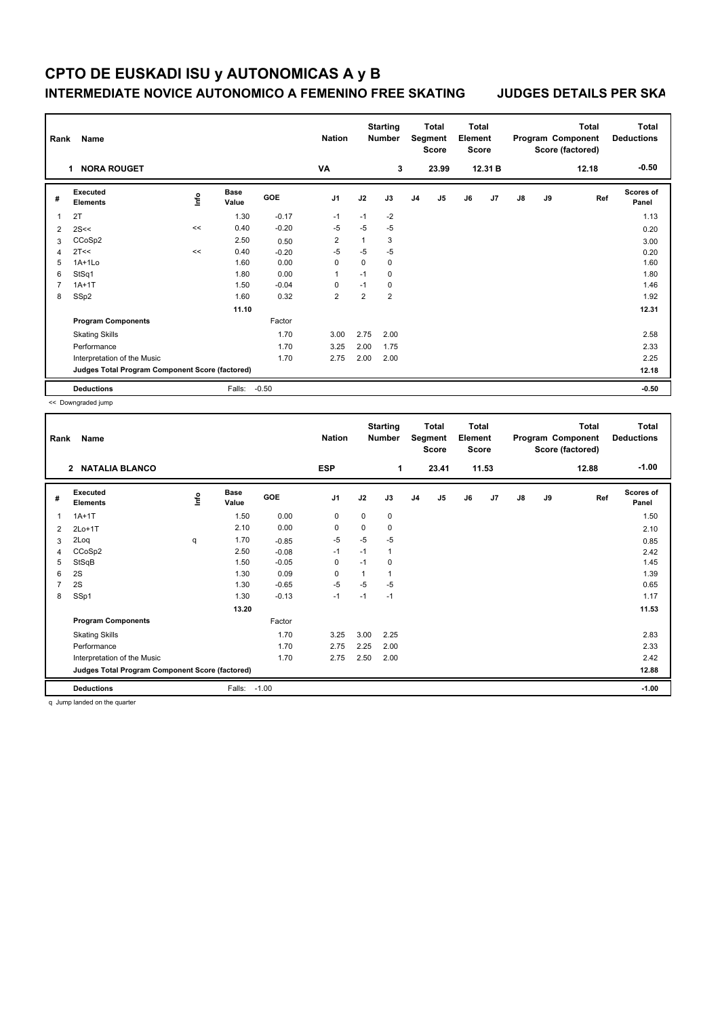## **CPTO DE EUSKADI ISU y AUTONOMICAS A y B INTERMEDIATE NOVICE AUTONOMICO A FEMENINO FREE SKATING JUDGES DETAILS PER SKA**

| Name<br>Rank<br><b>NORA ROUGET</b><br>1         |                             |                                  |                      |            | <b>Starting</b><br><b>Nation</b><br><b>Number</b><br>VA<br>3 |                | Total<br>Segment<br><b>Score</b><br>23.99 |                | Total<br>Element<br><b>Score</b><br>12.31 B |    | Total<br>Program Component<br>Score (factored)<br>12.18 |       |    | <b>Total</b><br><b>Deductions</b><br>$-0.50$ |                    |
|-------------------------------------------------|-----------------------------|----------------------------------|----------------------|------------|--------------------------------------------------------------|----------------|-------------------------------------------|----------------|---------------------------------------------|----|---------------------------------------------------------|-------|----|----------------------------------------------|--------------------|
| #                                               | Executed<br><b>Elements</b> | $\mathop{\mathsf{Irr}}\nolimits$ | <b>Base</b><br>Value | <b>GOE</b> | J <sub>1</sub>                                               | J2             | J3                                        | J <sub>4</sub> | J5                                          | J6 | J7                                                      | J8    | J9 | Ref                                          | Scores of<br>Panel |
| 1                                               | 2T                          |                                  | 1.30                 | $-0.17$    | $-1$                                                         | $-1$           | $-2$                                      |                |                                             |    |                                                         |       |    |                                              | 1.13               |
| $\overline{2}$                                  | 2S<<                        | <<                               | 0.40                 | $-0.20$    | $-5$                                                         | $-5$           | $-5$                                      |                |                                             |    |                                                         |       |    |                                              | 0.20               |
| 3                                               | CCoSp2                      |                                  | 2.50                 | 0.50       | 2                                                            | $\mathbf{1}$   | 3                                         |                |                                             |    |                                                         |       |    |                                              | 3.00               |
| $\overline{4}$                                  | 2T<<                        | <<                               | 0.40                 | $-0.20$    | $-5$                                                         | $-5$           | $-5$                                      |                |                                             |    |                                                         |       |    |                                              | 0.20               |
| 5                                               | $1A+1L0$                    |                                  | 1.60                 | 0.00       | 0                                                            | 0              | 0                                         |                |                                             |    |                                                         |       |    |                                              | 1.60               |
| 6                                               | StSq1                       |                                  | 1.80                 | 0.00       | $\overline{1}$                                               | $-1$           | 0                                         |                |                                             |    |                                                         |       |    |                                              | 1.80               |
| 7                                               | $1A+1T$                     |                                  | 1.50                 | $-0.04$    | $\Omega$                                                     | $-1$           | 0                                         |                |                                             |    |                                                         |       |    |                                              | 1.46               |
| 8                                               | SSp2                        |                                  | 1.60                 | 0.32       | $\overline{2}$                                               | $\overline{2}$ | $\overline{2}$                            |                |                                             |    |                                                         |       |    |                                              | 1.92               |
|                                                 |                             |                                  | 11.10                |            |                                                              |                |                                           |                |                                             |    |                                                         |       |    |                                              | 12.31              |
|                                                 | <b>Program Components</b>   |                                  |                      | Factor     |                                                              |                |                                           |                |                                             |    |                                                         |       |    |                                              |                    |
|                                                 | <b>Skating Skills</b>       |                                  |                      | 1.70       | 3.00                                                         | 2.75           | 2.00                                      |                |                                             |    |                                                         |       |    |                                              | 2.58               |
|                                                 | Performance                 |                                  |                      | 1.70       | 3.25                                                         | 2.00           | 1.75                                      |                |                                             |    |                                                         |       |    |                                              | 2.33               |
|                                                 | Interpretation of the Music |                                  |                      | 1.70       | 2.75                                                         | 2.00           | 2.00                                      |                |                                             |    |                                                         |       |    |                                              | 2.25               |
| Judges Total Program Component Score (factored) |                             |                                  |                      |            |                                                              |                |                                           |                |                                             |    |                                                         | 12.18 |    |                                              |                    |
|                                                 | <b>Deductions</b>           |                                  | Falls:               | $-0.50$    |                                                              |                |                                           |                |                                             |    |                                                         |       |    |                                              | $-0.50$            |

<< Downgraded jump

| $-1.00$<br><b>ESP</b><br>23.41<br>11.53<br>2 NATALIA BLANCO<br>1<br>12.88<br><b>Scores of</b><br>Executed<br><b>Base</b><br>١nf٥<br>GOE<br>J <sub>1</sub><br>J2<br>J5<br>J3<br>J <sub>4</sub><br>J6<br>J7<br>$\mathsf{J}8$<br>J9<br>Ref<br>#<br><b>Elements</b><br>Value<br>Panel<br>0.00<br>1.50<br>0<br>0<br>1.50<br>$1A+1T$<br>$\mathbf 0$<br>$\mathbf 1$<br>2.10<br>0.00<br>0<br>0<br>0<br>2.10<br>2<br>$2Lo+1T$<br>$-5$<br>$-5$<br>$-5$<br>2Loq<br>1.70<br>$-0.85$<br>0.85<br>3<br>q<br>$-1$<br>CCoSp2<br>2.50<br>$-1$<br>$\mathbf{1}$<br>$-0.08$<br>2.42<br>$\overline{4}$<br>StSqB<br>$-0.05$<br>$\mathbf 0$<br>1.50<br>$-1$<br>0<br>1.45<br>5<br>2S<br>0.09<br>1.39<br>6<br>1.30<br>0<br>$\mathbf{1}$<br>$\mathbf{1}$<br>2S<br>$-5$<br>$-5$<br>$\overline{7}$<br>$-0.65$<br>$-5$<br>0.65<br>1.30<br>SSp1<br>$-0.13$<br>$-1$<br>1.30<br>$-1$<br>$-1$<br>1.17<br>8<br>13.20<br>11.53<br><b>Program Components</b><br>Factor<br>1.70<br>3.00<br><b>Skating Skills</b><br>3.25<br>2.25<br>2.83<br>2.25<br>Performance<br>1.70<br>2.75<br>2.00<br>2.33<br>1.70<br>2.42<br>Interpretation of the Music<br>2.75<br>2.50<br>2.00<br>Judges Total Program Component Score (factored)<br>12.88<br>$-1.00$<br>Falls:<br><b>Deductions</b><br>$-1.00$ | Name<br>Rank |  |  |  | <b>Nation</b> |  | <b>Starting</b><br><b>Number</b> |  | Total<br>Segment<br>Score | Total<br>Element<br><b>Score</b> |  | Program Component<br>Score (factored) |  | <b>Total</b> | <b>Total</b><br><b>Deductions</b> |  |
|---------------------------------------------------------------------------------------------------------------------------------------------------------------------------------------------------------------------------------------------------------------------------------------------------------------------------------------------------------------------------------------------------------------------------------------------------------------------------------------------------------------------------------------------------------------------------------------------------------------------------------------------------------------------------------------------------------------------------------------------------------------------------------------------------------------------------------------------------------------------------------------------------------------------------------------------------------------------------------------------------------------------------------------------------------------------------------------------------------------------------------------------------------------------------------------------------------------------------------------------------|--------------|--|--|--|---------------|--|----------------------------------|--|---------------------------|----------------------------------|--|---------------------------------------|--|--------------|-----------------------------------|--|
|                                                                                                                                                                                                                                                                                                                                                                                                                                                                                                                                                                                                                                                                                                                                                                                                                                                                                                                                                                                                                                                                                                                                                                                                                                                   |              |  |  |  |               |  |                                  |  |                           |                                  |  |                                       |  |              |                                   |  |
|                                                                                                                                                                                                                                                                                                                                                                                                                                                                                                                                                                                                                                                                                                                                                                                                                                                                                                                                                                                                                                                                                                                                                                                                                                                   |              |  |  |  |               |  |                                  |  |                           |                                  |  |                                       |  |              |                                   |  |
|                                                                                                                                                                                                                                                                                                                                                                                                                                                                                                                                                                                                                                                                                                                                                                                                                                                                                                                                                                                                                                                                                                                                                                                                                                                   |              |  |  |  |               |  |                                  |  |                           |                                  |  |                                       |  |              |                                   |  |
|                                                                                                                                                                                                                                                                                                                                                                                                                                                                                                                                                                                                                                                                                                                                                                                                                                                                                                                                                                                                                                                                                                                                                                                                                                                   |              |  |  |  |               |  |                                  |  |                           |                                  |  |                                       |  |              |                                   |  |
|                                                                                                                                                                                                                                                                                                                                                                                                                                                                                                                                                                                                                                                                                                                                                                                                                                                                                                                                                                                                                                                                                                                                                                                                                                                   |              |  |  |  |               |  |                                  |  |                           |                                  |  |                                       |  |              |                                   |  |
|                                                                                                                                                                                                                                                                                                                                                                                                                                                                                                                                                                                                                                                                                                                                                                                                                                                                                                                                                                                                                                                                                                                                                                                                                                                   |              |  |  |  |               |  |                                  |  |                           |                                  |  |                                       |  |              |                                   |  |
|                                                                                                                                                                                                                                                                                                                                                                                                                                                                                                                                                                                                                                                                                                                                                                                                                                                                                                                                                                                                                                                                                                                                                                                                                                                   |              |  |  |  |               |  |                                  |  |                           |                                  |  |                                       |  |              |                                   |  |
|                                                                                                                                                                                                                                                                                                                                                                                                                                                                                                                                                                                                                                                                                                                                                                                                                                                                                                                                                                                                                                                                                                                                                                                                                                                   |              |  |  |  |               |  |                                  |  |                           |                                  |  |                                       |  |              |                                   |  |
|                                                                                                                                                                                                                                                                                                                                                                                                                                                                                                                                                                                                                                                                                                                                                                                                                                                                                                                                                                                                                                                                                                                                                                                                                                                   |              |  |  |  |               |  |                                  |  |                           |                                  |  |                                       |  |              |                                   |  |
|                                                                                                                                                                                                                                                                                                                                                                                                                                                                                                                                                                                                                                                                                                                                                                                                                                                                                                                                                                                                                                                                                                                                                                                                                                                   |              |  |  |  |               |  |                                  |  |                           |                                  |  |                                       |  |              |                                   |  |
|                                                                                                                                                                                                                                                                                                                                                                                                                                                                                                                                                                                                                                                                                                                                                                                                                                                                                                                                                                                                                                                                                                                                                                                                                                                   |              |  |  |  |               |  |                                  |  |                           |                                  |  |                                       |  |              |                                   |  |
|                                                                                                                                                                                                                                                                                                                                                                                                                                                                                                                                                                                                                                                                                                                                                                                                                                                                                                                                                                                                                                                                                                                                                                                                                                                   |              |  |  |  |               |  |                                  |  |                           |                                  |  |                                       |  |              |                                   |  |
|                                                                                                                                                                                                                                                                                                                                                                                                                                                                                                                                                                                                                                                                                                                                                                                                                                                                                                                                                                                                                                                                                                                                                                                                                                                   |              |  |  |  |               |  |                                  |  |                           |                                  |  |                                       |  |              |                                   |  |
|                                                                                                                                                                                                                                                                                                                                                                                                                                                                                                                                                                                                                                                                                                                                                                                                                                                                                                                                                                                                                                                                                                                                                                                                                                                   |              |  |  |  |               |  |                                  |  |                           |                                  |  |                                       |  |              |                                   |  |
|                                                                                                                                                                                                                                                                                                                                                                                                                                                                                                                                                                                                                                                                                                                                                                                                                                                                                                                                                                                                                                                                                                                                                                                                                                                   |              |  |  |  |               |  |                                  |  |                           |                                  |  |                                       |  |              |                                   |  |
|                                                                                                                                                                                                                                                                                                                                                                                                                                                                                                                                                                                                                                                                                                                                                                                                                                                                                                                                                                                                                                                                                                                                                                                                                                                   |              |  |  |  |               |  |                                  |  |                           |                                  |  |                                       |  |              |                                   |  |
|                                                                                                                                                                                                                                                                                                                                                                                                                                                                                                                                                                                                                                                                                                                                                                                                                                                                                                                                                                                                                                                                                                                                                                                                                                                   |              |  |  |  |               |  |                                  |  |                           |                                  |  |                                       |  |              |                                   |  |

q Jump landed on the quarter